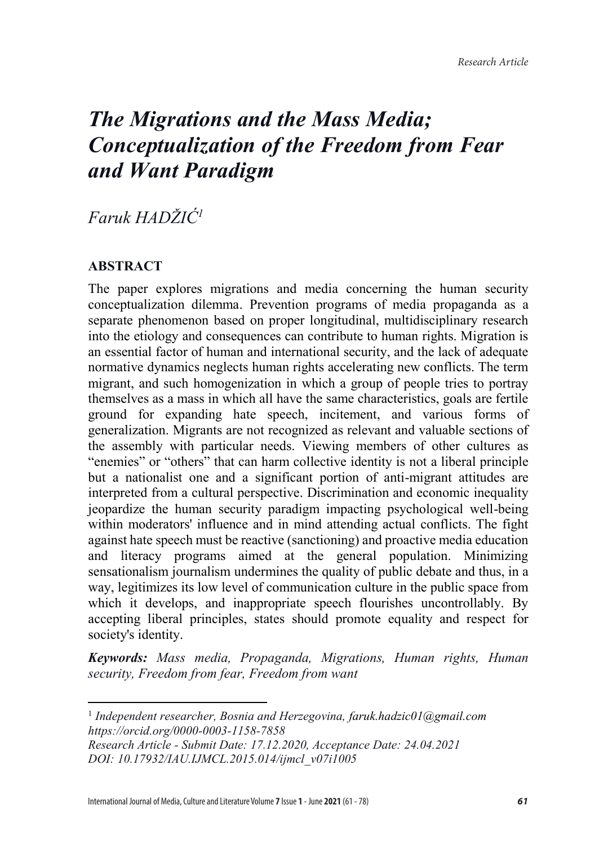*Faruk HADŽIĆ<sup>1</sup>*

# **ABSTRACT**

The paper explores migrations and media concerning the human security conceptualization dilemma. Prevention programs of media propaganda as a separate phenomenon based on proper longitudinal, multidisciplinary research into the etiology and consequences can contribute to human rights. Migration is an essential factor of human and international security, and the lack of adequate normative dynamics neglects human rights accelerating new conflicts. The term migrant, and such homogenization in which a group of people tries to portray themselves as a mass in which all have the same characteristics, goals are fertile ground for expanding hate speech, incitement, and various forms of generalization. Migrants are not recognized as relevant and valuable sections of the assembly with particular needs. Viewing members of other cultures as "enemies" or "others" that can harm collective identity is not a liberal principle but a nationalist one and a significant portion of anti-migrant attitudes are interpreted from a cultural perspective. Discrimination and economic inequality jeopardize the human security paradigm impacting psychological well-being within moderators' influence and in mind attending actual conflicts. The fight against hate speech must be reactive (sanctioning) and proactive media education and literacy programs aimed at the general population. Minimizing sensationalism journalism undermines the quality of public debate and thus, in a way, legitimizes its low level of communication culture in the public space from which it develops, and inappropriate speech flourishes uncontrollably. By accepting liberal principles, states should promote equality and respect for society's identity.

*Keywords: Mass media, Propaganda, Migrations, Human rights, Human security, Freedom from fear, Freedom from want*

<sup>1</sup> *Independent researcher, Bosnia and Herzegovina, faruk.hadzic01@gmail.com https://orcid.org/0000-0003-1158-7858*

*Research Article - Submit Date: 17.12.2020, Acceptance Date: 24.04.2021 DOI: 10.17932/IAU.IJMCL.2015.014/ijmcl\_v07i1005*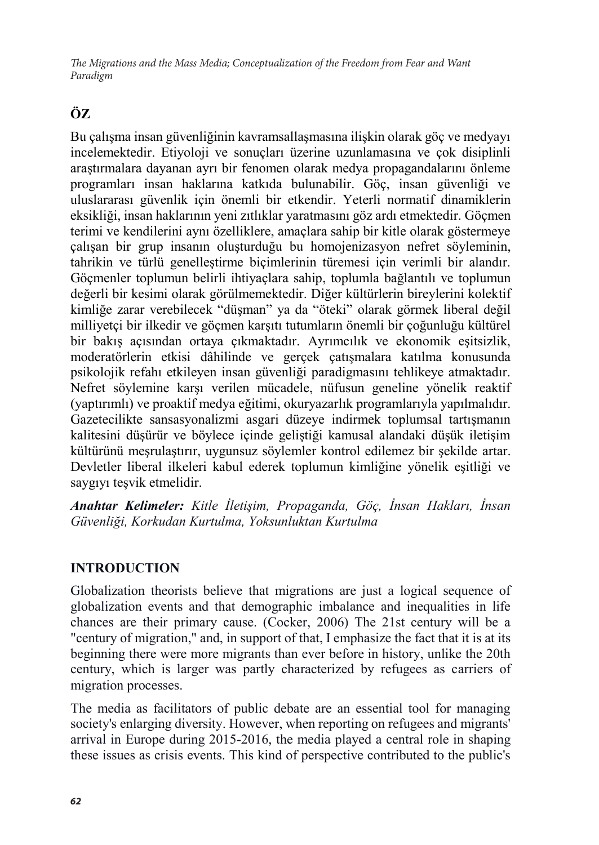# **ÖZ**

Bu çalışma insan güvenliğinin kavramsallaşmasına ilişkin olarak göç ve medyayı incelemektedir. Etiyoloji ve sonuçları üzerine uzunlamasına ve çok disiplinli araştırmalara dayanan ayrı bir fenomen olarak medya propagandalarını önleme programları insan haklarına katkıda bulunabilir. Göç, insan güvenliği ve uluslararası güvenlik için önemli bir etkendir. Yeterli normatif dinamiklerin eksikliği, insan haklarının yeni zıtlıklar yaratmasını göz ardı etmektedir. Göçmen terimi ve kendilerini aynı özelliklere, amaçlara sahip bir kitle olarak göstermeye çalışan bir grup insanın oluşturduğu bu homojenizasyon nefret söyleminin, tahrikin ve türlü genelleştirme biçimlerinin türemesi için verimli bir alandır. Göçmenler toplumun belirli ihtiyaçlara sahip, toplumla bağlantılı ve toplumun değerli bir kesimi olarak görülmemektedir. Diğer kültürlerin bireylerini kolektif kimliğe zarar verebilecek "düşman" ya da "öteki" olarak görmek liberal değil milliyetçi bir ilkedir ve göçmen karşıtı tutumların önemli bir çoğunluğu kültürel bir bakış açısından ortaya çıkmaktadır. Ayrımcılık ve ekonomik eşitsizlik, moderatörlerin etkisi dâhilinde ve gerçek çatışmalara katılma konusunda psikolojik refahı etkileyen insan güvenliği paradigmasını tehlikeye atmaktadır. Nefret söylemine karşı verilen mücadele, nüfusun geneline yönelik reaktif (yaptırımlı) ve proaktif medya eğitimi, okuryazarlık programlarıyla yapılmalıdır. Gazetecilikte sansasyonalizmi asgari düzeye indirmek toplumsal tartışmanın kalitesini düşürür ve böylece içinde geliştiği kamusal alandaki düşük iletişim kültürünü meşrulaştırır, uygunsuz söylemler kontrol edilemez bir şekilde artar. Devletler liberal ilkeleri kabul ederek toplumun kimliğine yönelik eşitliği ve saygıyı teşvik etmelidir.

*Anahtar Kelimeler: Kitle İletişim, Propaganda, Göç, İnsan Hakları, İnsan Güvenliği, Korkudan Kurtulma, Yoksunluktan Kurtulma*

# **INTRODUCTION**

Globalization theorists believe that migrations are just a logical sequence of globalization events and that demographic imbalance and inequalities in life chances are their primary cause. (Cocker, 2006) The 21st century will be a "century of migration," and, in support of that, I emphasize the fact that it is at its beginning there were more migrants than ever before in history, unlike the 20th century, which is larger was partly characterized by refugees as carriers of migration processes.

The media as facilitators of public debate are an essential tool for managing society's enlarging diversity. However, when reporting on refugees and migrants' arrival in Europe during 2015-2016, the media played a central role in shaping these issues as crisis events. This kind of perspective contributed to the public's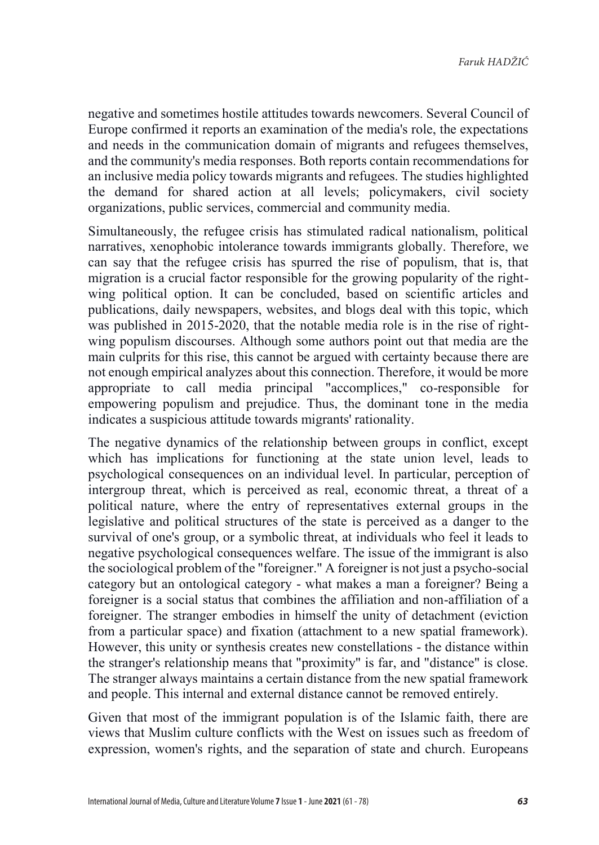negative and sometimes hostile attitudes towards newcomers. Several Council of Europe confirmed it reports an examination of the media's role, the expectations and needs in the communication domain of migrants and refugees themselves, and the community's media responses. Both reports contain recommendations for an inclusive media policy towards migrants and refugees. The studies highlighted the demand for shared action at all levels; policymakers, civil society organizations, public services, commercial and community media.

Simultaneously, the refugee crisis has stimulated radical nationalism, political narratives, xenophobic intolerance towards immigrants globally. Therefore, we can say that the refugee crisis has spurred the rise of populism, that is, that migration is a crucial factor responsible for the growing popularity of the rightwing political option. It can be concluded, based on scientific articles and publications, daily newspapers, websites, and blogs deal with this topic, which was published in 2015-2020, that the notable media role is in the rise of rightwing populism discourses. Although some authors point out that media are the main culprits for this rise, this cannot be argued with certainty because there are not enough empirical analyzes about this connection. Therefore, it would be more appropriate to call media principal "accomplices," co-responsible for empowering populism and prejudice. Thus, the dominant tone in the media indicates a suspicious attitude towards migrants' rationality.

The negative dynamics of the relationship between groups in conflict, except which has implications for functioning at the state union level, leads to psychological consequences on an individual level. In particular, perception of intergroup threat, which is perceived as real, economic threat, a threat of a political nature, where the entry of representatives external groups in the legislative and political structures of the state is perceived as a danger to the survival of one's group, or a symbolic threat, at individuals who feel it leads to negative psychological consequences welfare. The issue of the immigrant is also the sociological problem of the "foreigner." A foreigner is not just a psycho-social category but an ontological category - what makes a man a foreigner? Being a foreigner is a social status that combines the affiliation and non-affiliation of a foreigner. The stranger embodies in himself the unity of detachment (eviction from a particular space) and fixation (attachment to a new spatial framework). However, this unity or synthesis creates new constellations - the distance within the stranger's relationship means that "proximity" is far, and "distance" is close. The stranger always maintains a certain distance from the new spatial framework and people. This internal and external distance cannot be removed entirely.

Given that most of the immigrant population is of the Islamic faith, there are views that Muslim culture conflicts with the West on issues such as freedom of expression, women's rights, and the separation of state and church. Europeans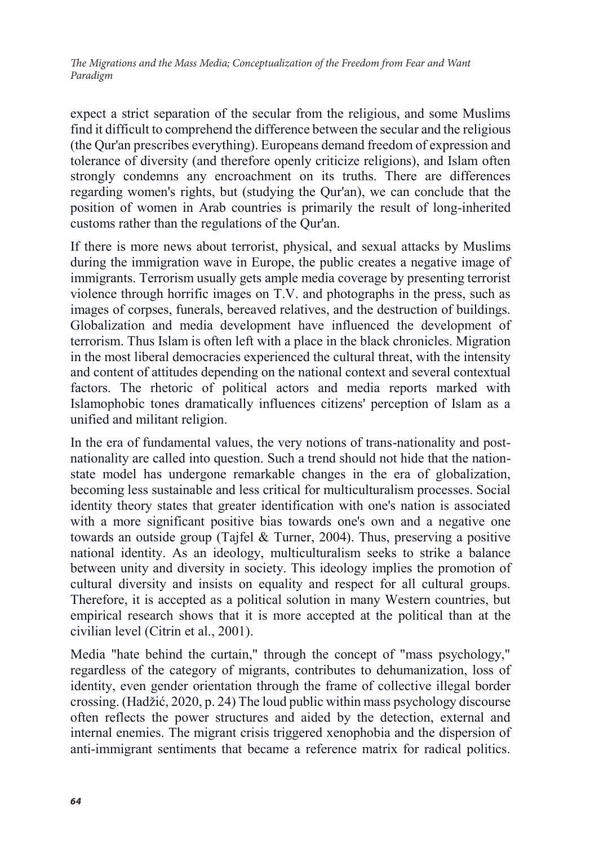expect a strict separation of the secular from the religious, and some Muslims find it difficult to comprehend the difference between the secular and the religious (the Qur'an prescribes everything). Europeans demand freedom of expression and tolerance of diversity (and therefore openly criticize religions), and Islam often strongly condemns any encroachment on its truths. There are differences regarding women's rights, but (studying the Qur'an), we can conclude that the position of women in Arab countries is primarily the result of long-inherited customs rather than the regulations of the Qur'an.

If there is more news about terrorist, physical, and sexual attacks by Muslims during the immigration wave in Europe, the public creates a negative image of immigrants. Terrorism usually gets ample media coverage by presenting terrorist violence through horrific images on T.V. and photographs in the press, such as images of corpses, funerals, bereaved relatives, and the destruction of buildings. Globalization and media development have influenced the development of terrorism. Thus Islam is often left with a place in the black chronicles. Migration in the most liberal democracies experienced the cultural threat, with the intensity and content of attitudes depending on the national context and several contextual factors. The rhetoric of political actors and media reports marked with Islamophobic tones dramatically influences citizens' perception of Islam as a unified and militant religion.

In the era of fundamental values, the very notions of trans-nationality and postnationality are called into question. Such a trend should not hide that the nationstate model has undergone remarkable changes in the era of globalization, becoming less sustainable and less critical for multiculturalism processes. Social identity theory states that greater identification with one's nation is associated with a more significant positive bias towards one's own and a negative one towards an outside group (Tajfel & Turner, 2004). Thus, preserving a positive national identity. As an ideology, multiculturalism seeks to strike a balance between unity and diversity in society. This ideology implies the promotion of cultural diversity and insists on equality and respect for all cultural groups. Therefore, it is accepted as a political solution in many Western countries, but empirical research shows that it is more accepted at the political than at the civilian level (Citrin et al., 2001).

Media "hate behind the curtain," through the concept of "mass psychology," regardless of the category of migrants, contributes to dehumanization, loss of identity, even gender orientation through the frame of collective illegal border crossing. (Hadžić, 2020, p. 24) The loud public within mass psychology discourse often reflects the power structures and aided by the detection, external and internal enemies. The migrant crisis triggered xenophobia and the dispersion of anti-immigrant sentiments that became a reference matrix for radical politics.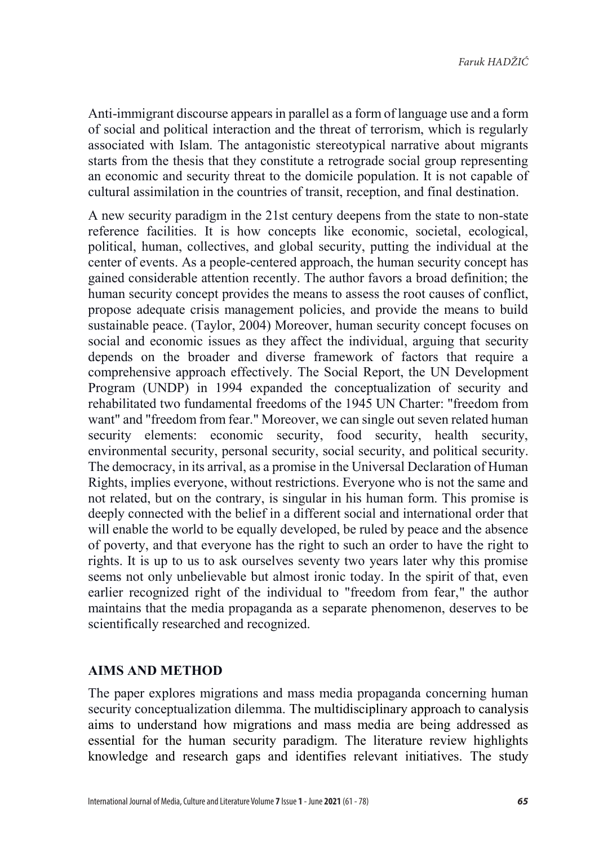Anti-immigrant discourse appears in parallel as a form of language use and a form of social and political interaction and the threat of terrorism, which is regularly associated with Islam. The antagonistic stereotypical narrative about migrants starts from the thesis that they constitute a retrograde social group representing an economic and security threat to the domicile population. It is not capable of cultural assimilation in the countries of transit, reception, and final destination.

A new security paradigm in the 21st century deepens from the state to non-state reference facilities. It is how concepts like economic, societal, ecological, political, human, collectives, and global security, putting the individual at the center of events. As a people-centered approach, the human security concept has gained considerable attention recently. The author favors a broad definition; the human security concept provides the means to assess the root causes of conflict, propose adequate crisis management policies, and provide the means to build sustainable peace. (Taylor, 2004) Moreover, human security concept focuses on social and economic issues as they affect the individual, arguing that security depends on the broader and diverse framework of factors that require a comprehensive approach effectively. The Social Report, the UN Development Program (UNDP) in 1994 expanded the conceptualization of security and rehabilitated two fundamental freedoms of the 1945 UN Charter: "freedom from want" and "freedom from fear." Moreover, we can single out seven related human security elements: economic security, food security, health security, environmental security, personal security, social security, and political security. The democracy, in its arrival, as a promise in the Universal Declaration of Human Rights, implies everyone, without restrictions. Everyone who is not the same and not related, but on the contrary, is singular in his human form. This promise is deeply connected with the belief in a different social and international order that will enable the world to be equally developed, be ruled by peace and the absence of poverty, and that everyone has the right to such an order to have the right to rights. It is up to us to ask ourselves seventy two years later why this promise seems not only unbelievable but almost ironic today. In the spirit of that, even earlier recognized right of the individual to "freedom from fear," the author maintains that the media propaganda as a separate phenomenon, deserves to be scientifically researched and recognized.

# **AIMS AND METHOD**

The paper explores migrations and mass media propaganda concerning human security conceptualization dilemma. The multidisciplinary approach to canalysis aims to understand how migrations and mass media are being addressed as essential for the human security paradigm. The literature review highlights knowledge and research gaps and identifies relevant initiatives. The study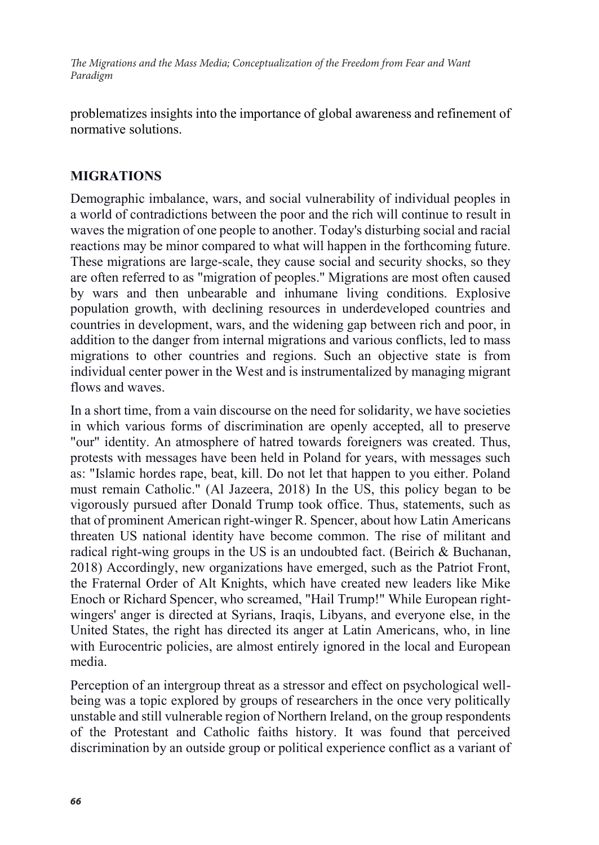problematizes insights into the importance of global awareness and refinement of normative solutions.

# **MIGRATIONS**

Demographic imbalance, wars, and social vulnerability of individual peoples in a world of contradictions between the poor and the rich will continue to result in waves the migration of one people to another. Today's disturbing social and racial reactions may be minor compared to what will happen in the forthcoming future. These migrations are large-scale, they cause social and security shocks, so they are often referred to as "migration of peoples." Migrations are most often caused by wars and then unbearable and inhumane living conditions. Explosive population growth, with declining resources in underdeveloped countries and countries in development, wars, and the widening gap between rich and poor, in addition to the danger from internal migrations and various conflicts, led to mass migrations to other countries and regions. Such an objective state is from individual center power in the West and is instrumentalized by managing migrant flows and waves.

In a short time, from a vain discourse on the need for solidarity, we have societies in which various forms of discrimination are openly accepted, all to preserve "our" identity. An atmosphere of hatred towards foreigners was created. Thus, protests with messages have been held in Poland for years, with messages such as: "Islamic hordes rape, beat, kill. Do not let that happen to you either. Poland must remain Catholic." (Al Jazeera, 2018) In the US, this policy began to be vigorously pursued after Donald Trump took office. Thus, statements, such as that of prominent American right-winger R. Spencer, about how Latin Americans threaten US national identity have become common. The rise of militant and radical right-wing groups in the US is an undoubted fact. (Beirich & Buchanan, 2018) Accordingly, new organizations have emerged, such as the Patriot Front, the Fraternal Order of Alt Knights, which have created new leaders like Mike Enoch or Richard Spencer, who screamed, "Hail Trump!" While European rightwingers' anger is directed at Syrians, Iraqis, Libyans, and everyone else, in the United States, the right has directed its anger at Latin Americans, who, in line with Eurocentric policies, are almost entirely ignored in the local and European media.

Perception of an intergroup threat as a stressor and effect on psychological wellbeing was a topic explored by groups of researchers in the once very politically unstable and still vulnerable region of Northern Ireland, on the group respondents of the Protestant and Catholic faiths history. It was found that perceived discrimination by an outside group or political experience conflict as a variant of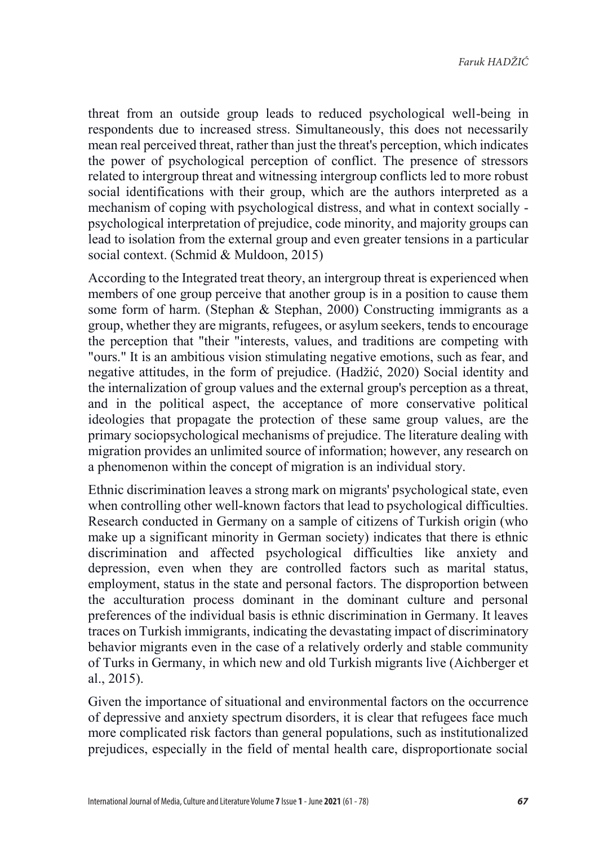threat from an outside group leads to reduced psychological well-being in respondents due to increased stress. Simultaneously, this does not necessarily mean real perceived threat, rather than just the threat's perception, which indicates the power of psychological perception of conflict. The presence of stressors related to intergroup threat and witnessing intergroup conflicts led to more robust social identifications with their group, which are the authors interpreted as a mechanism of coping with psychological distress, and what in context socially psychological interpretation of prejudice, code minority, and majority groups can lead to isolation from the external group and even greater tensions in a particular social context. (Schmid & Muldoon, 2015)

According to the Integrated treat theory, an intergroup threat is experienced when members of one group perceive that another group is in a position to cause them some form of harm. (Stephan & Stephan, 2000) Constructing immigrants as a group, whether they are migrants, refugees, or asylum seekers, tends to encourage the perception that "their "interests, values, and traditions are competing with "ours." It is an ambitious vision stimulating negative emotions, such as fear, and negative attitudes, in the form of prejudice. (Hadžić, 2020) Social identity and the internalization of group values and the external group's perception as a threat, and in the political aspect, the acceptance of more conservative political ideologies that propagate the protection of these same group values, are the primary sociopsychological mechanisms of prejudice. The literature dealing with migration provides an unlimited source of information; however, any research on a phenomenon within the concept of migration is an individual story.

Ethnic discrimination leaves a strong mark on migrants' psychological state, even when controlling other well-known factors that lead to psychological difficulties. Research conducted in Germany on a sample of citizens of Turkish origin (who make up a significant minority in German society) indicates that there is ethnic discrimination and affected psychological difficulties like anxiety and depression, even when they are controlled factors such as marital status, employment, status in the state and personal factors. The disproportion between the acculturation process dominant in the dominant culture and personal preferences of the individual basis is ethnic discrimination in Germany. It leaves traces on Turkish immigrants, indicating the devastating impact of discriminatory behavior migrants even in the case of a relatively orderly and stable community of Turks in Germany, in which new and old Turkish migrants live (Aichberger et al., 2015).

Given the importance of situational and environmental factors on the occurrence of depressive and anxiety spectrum disorders, it is clear that refugees face much more complicated risk factors than general populations, such as institutionalized prejudices, especially in the field of mental health care, disproportionate social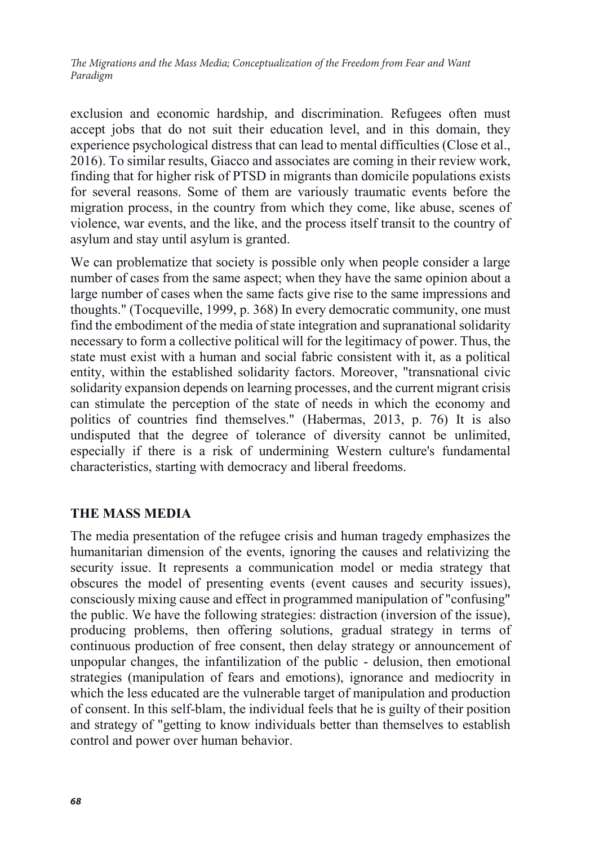exclusion and economic hardship, and discrimination. Refugees often must accept jobs that do not suit their education level, and in this domain, they experience psychological distress that can lead to mental difficulties (Close et al., 2016). To similar results, Giacco and associates are coming in their review work, finding that for higher risk of PTSD in migrants than domicile populations exists for several reasons. Some of them are variously traumatic events before the migration process, in the country from which they come, like abuse, scenes of violence, war events, and the like, and the process itself transit to the country of asylum and stay until asylum is granted.

We can problematize that society is possible only when people consider a large number of cases from the same aspect; when they have the same opinion about a large number of cases when the same facts give rise to the same impressions and thoughts." (Tocqueville, 1999, p. 368) In every democratic community, one must find the embodiment of the media of state integration and supranational solidarity necessary to form a collective political will for the legitimacy of power. Thus, the state must exist with a human and social fabric consistent with it, as a political entity, within the established solidarity factors. Moreover, "transnational civic solidarity expansion depends on learning processes, and the current migrant crisis can stimulate the perception of the state of needs in which the economy and politics of countries find themselves." (Habermas, 2013, p. 76) It is also undisputed that the degree of tolerance of diversity cannot be unlimited, especially if there is a risk of undermining Western culture's fundamental characteristics, starting with democracy and liberal freedoms.

# **THE MASS MEDIA**

The media presentation of the refugee crisis and human tragedy emphasizes the humanitarian dimension of the events, ignoring the causes and relativizing the security issue. It represents a communication model or media strategy that obscures the model of presenting events (event causes and security issues), consciously mixing cause and effect in programmed manipulation of "confusing" the public. We have the following strategies: distraction (inversion of the issue), producing problems, then offering solutions, gradual strategy in terms of continuous production of free consent, then delay strategy or announcement of unpopular changes, the infantilization of the public - delusion, then emotional strategies (manipulation of fears and emotions), ignorance and mediocrity in which the less educated are the vulnerable target of manipulation and production of consent. In this self-blam, the individual feels that he is guilty of their position and strategy of "getting to know individuals better than themselves to establish control and power over human behavior.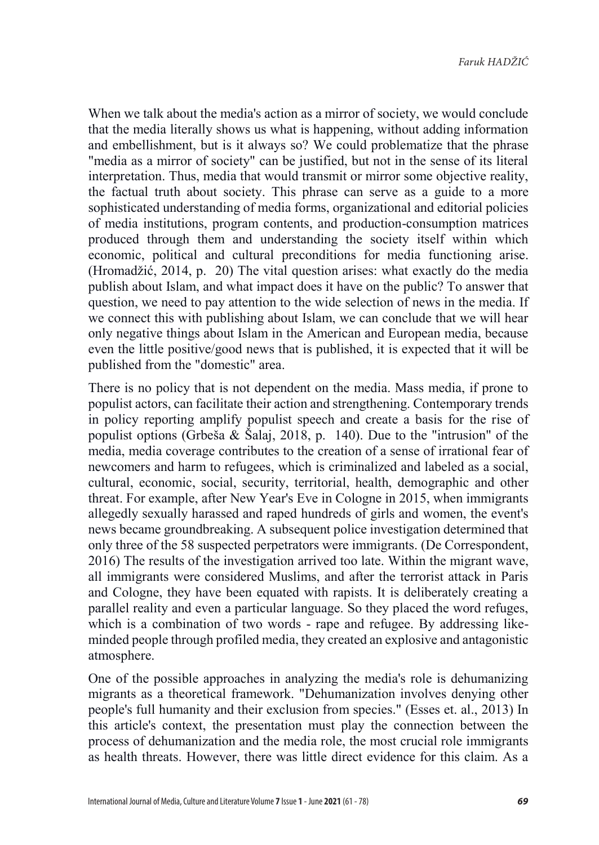When we talk about the media's action as a mirror of society, we would conclude that the media literally shows us what is happening, without adding information and embellishment, but is it always so? We could problematize that the phrase "media as a mirror of society" can be justified, but not in the sense of its literal interpretation. Thus, media that would transmit or mirror some objective reality, the factual truth about society. This phrase can serve as a guide to a more sophisticated understanding of media forms, organizational and editorial policies of media institutions, program contents, and production-consumption matrices produced through them and understanding the society itself within which economic, political and cultural preconditions for media functioning arise. (Hromadžić, 2014, p. 20) The vital question arises: what exactly do the media publish about Islam, and what impact does it have on the public? To answer that question, we need to pay attention to the wide selection of news in the media. If we connect this with publishing about Islam, we can conclude that we will hear only negative things about Islam in the American and European media, because even the little positive/good news that is published, it is expected that it will be published from the "domestic" area.

There is no policy that is not dependent on the media. Mass media, if prone to populist actors, can facilitate their action and strengthening. Contemporary trends in policy reporting amplify populist speech and create a basis for the rise of populist options (Grbeša  $\&$  Šalaj, 2018, p. 140). Due to the "intrusion" of the media, media coverage contributes to the creation of a sense of irrational fear of newcomers and harm to refugees, which is criminalized and labeled as a social, cultural, economic, social, security, territorial, health, demographic and other threat. For example, after New Year's Eve in Cologne in 2015, when immigrants allegedly sexually harassed and raped hundreds of girls and women, the event's news became groundbreaking. A subsequent police investigation determined that only three of the 58 suspected perpetrators were immigrants. (De Correspondent, 2016) The results of the investigation arrived too late. Within the migrant wave, all immigrants were considered Muslims, and after the terrorist attack in Paris and Cologne, they have been equated with rapists. It is deliberately creating a parallel reality and even a particular language. So they placed the word refuges, which is a combination of two words - rape and refugee. By addressing likeminded people through profiled media, they created an explosive and antagonistic atmosphere.

One of the possible approaches in analyzing the media's role is dehumanizing migrants as a theoretical framework. "Dehumanization involves denying other people's full humanity and their exclusion from species." (Esses et. al., 2013) In this article's context, the presentation must play the connection between the process of dehumanization and the media role, the most crucial role immigrants as health threats. However, there was little direct evidence for this claim. As a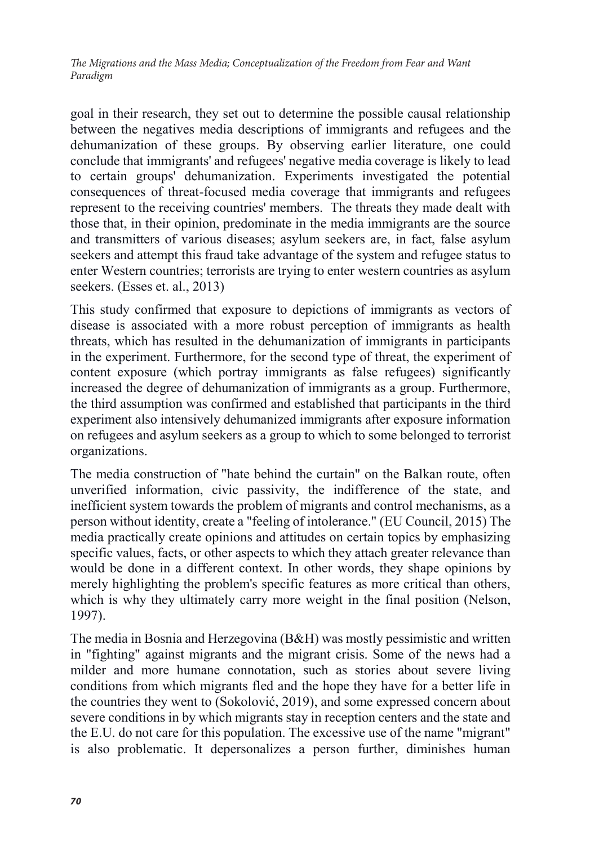goal in their research, they set out to determine the possible causal relationship between the negatives media descriptions of immigrants and refugees and the dehumanization of these groups. By observing earlier literature, one could conclude that immigrants' and refugees' negative media coverage is likely to lead to certain groups' dehumanization. Experiments investigated the potential consequences of threat-focused media coverage that immigrants and refugees represent to the receiving countries' members. The threats they made dealt with those that, in their opinion, predominate in the media immigrants are the source and transmitters of various diseases; asylum seekers are, in fact, false asylum seekers and attempt this fraud take advantage of the system and refugee status to enter Western countries; terrorists are trying to enter western countries as asylum seekers. (Esses et. al., 2013)

This study confirmed that exposure to depictions of immigrants as vectors of disease is associated with a more robust perception of immigrants as health threats, which has resulted in the dehumanization of immigrants in participants in the experiment. Furthermore, for the second type of threat, the experiment of content exposure (which portray immigrants as false refugees) significantly increased the degree of dehumanization of immigrants as a group. Furthermore, the third assumption was confirmed and established that participants in the third experiment also intensively dehumanized immigrants after exposure information on refugees and asylum seekers as a group to which to some belonged to terrorist organizations.

The media construction of "hate behind the curtain" on the Balkan route, often unverified information, civic passivity, the indifference of the state, and inefficient system towards the problem of migrants and control mechanisms, as a person without identity, create a "feeling of intolerance." (EU Council, 2015) The media practically create opinions and attitudes on certain topics by emphasizing specific values, facts, or other aspects to which they attach greater relevance than would be done in a different context. In other words, they shape opinions by merely highlighting the problem's specific features as more critical than others, which is why they ultimately carry more weight in the final position (Nelson, 1997).

The media in Bosnia and Herzegovina (B&H) was mostly pessimistic and written in "fighting" against migrants and the migrant crisis. Some of the news had a milder and more humane connotation, such as stories about severe living conditions from which migrants fled and the hope they have for a better life in the countries they went to (Sokolović, 2019), and some expressed concern about severe conditions in by which migrants stay in reception centers and the state and the E.U. do not care for this population. The excessive use of the name "migrant" is also problematic. It depersonalizes a person further, diminishes human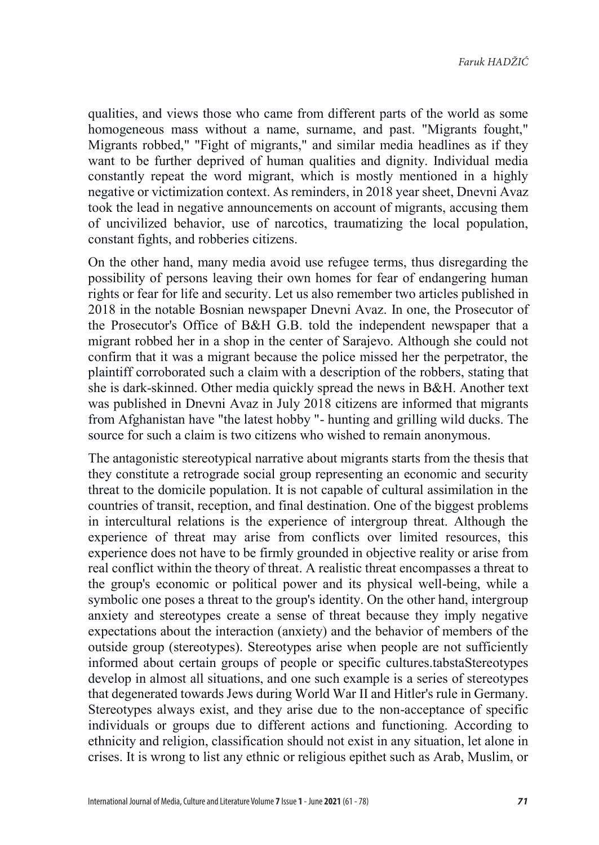qualities, and views those who came from different parts of the world as some homogeneous mass without a name, surname, and past. "Migrants fought," Migrants robbed," "Fight of migrants," and similar media headlines as if they want to be further deprived of human qualities and dignity. Individual media constantly repeat the word migrant, which is mostly mentioned in a highly negative or victimization context. As reminders, in 2018 year sheet, Dnevni Avaz took the lead in negative announcements on account of migrants, accusing them of uncivilized behavior, use of narcotics, traumatizing the local population, constant fights, and robberies citizens.

On the other hand, many media avoid use refugee terms, thus disregarding the possibility of persons leaving their own homes for fear of endangering human rights or fear for life and security. Let us also remember two articles published in 2018 in the notable Bosnian newspaper Dnevni Avaz. In one, the Prosecutor of the Prosecutor's Office of B&H G.B. told the independent newspaper that a migrant robbed her in a shop in the center of Sarajevo. Although she could not confirm that it was a migrant because the police missed her the perpetrator, the plaintiff corroborated such a claim with a description of the robbers, stating that she is dark-skinned. Other media quickly spread the news in B&H. Another text was published in Dnevni Avaz in July 2018 citizens are informed that migrants from Afghanistan have "the latest hobby "- hunting and grilling wild ducks. The source for such a claim is two citizens who wished to remain anonymous.

The antagonistic stereotypical narrative about migrants starts from the thesis that they constitute a retrograde social group representing an economic and security threat to the domicile population. It is not capable of cultural assimilation in the countries of transit, reception, and final destination. One of the biggest problems in intercultural relations is the experience of intergroup threat. Although the experience of threat may arise from conflicts over limited resources, this experience does not have to be firmly grounded in objective reality or arise from real conflict within the theory of threat. A realistic threat encompasses a threat to the group's economic or political power and its physical well-being, while a symbolic one poses a threat to the group's identity. On the other hand, intergroup anxiety and stereotypes create a sense of threat because they imply negative expectations about the interaction (anxiety) and the behavior of members of the outside group (stereotypes). Stereotypes arise when people are not sufficiently informed about certain groups of people or specific cultures.tabstaStereotypes develop in almost all situations, and one such example is a series of stereotypes that degenerated towards Jews during World War II and Hitler's rule in Germany. Stereotypes always exist, and they arise due to the non-acceptance of specific individuals or groups due to different actions and functioning. According to ethnicity and religion, classification should not exist in any situation, let alone in crises. It is wrong to list any ethnic or religious epithet such as Arab, Muslim, or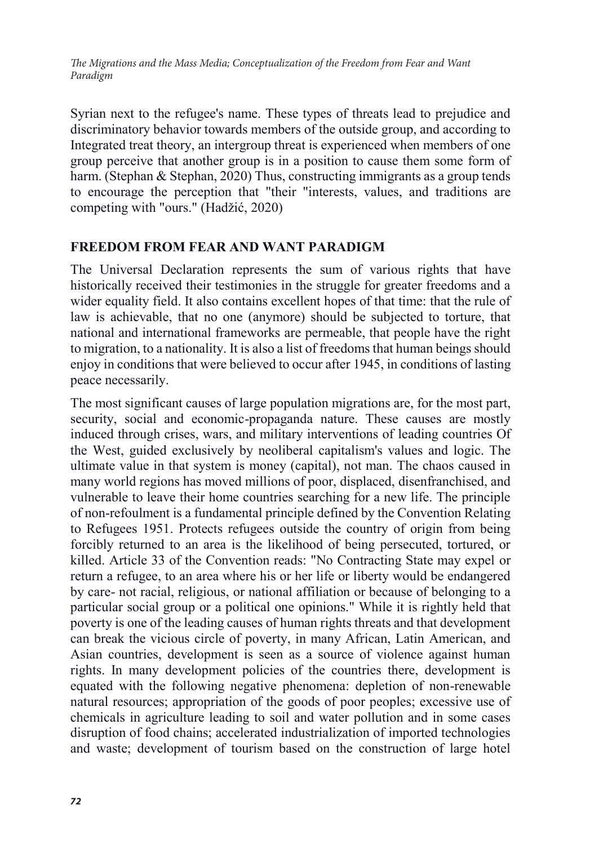Syrian next to the refugee's name. These types of threats lead to prejudice and discriminatory behavior towards members of the outside group, and according to Integrated treat theory, an intergroup threat is experienced when members of one group perceive that another group is in a position to cause them some form of harm. (Stephan & Stephan, 2020) Thus, constructing immigrants as a group tends to encourage the perception that "their "interests, values, and traditions are competing with "ours." (Hadžić, 2020)

# **FREEDOM FROM FEAR AND WANT PARADIGM**

The Universal Declaration represents the sum of various rights that have historically received their testimonies in the struggle for greater freedoms and a wider equality field. It also contains excellent hopes of that time: that the rule of law is achievable, that no one (anymore) should be subjected to torture, that national and international frameworks are permeable, that people have the right to migration, to a nationality. It is also a list of freedoms that human beings should enjoy in conditions that were believed to occur after 1945, in conditions of lasting peace necessarily.

The most significant causes of large population migrations are, for the most part, security, social and economic-propaganda nature. These causes are mostly induced through crises, wars, and military interventions of leading countries Of the West, guided exclusively by neoliberal capitalism's values and logic. The ultimate value in that system is money (capital), not man. The chaos caused in many world regions has moved millions of poor, displaced, disenfranchised, and vulnerable to leave their home countries searching for a new life. The principle of non-refoulment is a fundamental principle defined by the Convention Relating to Refugees 1951. Protects refugees outside the country of origin from being forcibly returned to an area is the likelihood of being persecuted, tortured, or killed. Article 33 of the Convention reads: "No Contracting State may expel or return a refugee, to an area where his or her life or liberty would be endangered by care- not racial, religious, or national affiliation or because of belonging to a particular social group or a political one opinions." While it is rightly held that poverty is one of the leading causes of human rights threats and that development can break the vicious circle of poverty, in many African, Latin American, and Asian countries, development is seen as a source of violence against human rights. In many development policies of the countries there, development is equated with the following negative phenomena: depletion of non-renewable natural resources; appropriation of the goods of poor peoples; excessive use of chemicals in agriculture leading to soil and water pollution and in some cases disruption of food chains; accelerated industrialization of imported technologies and waste; development of tourism based on the construction of large hotel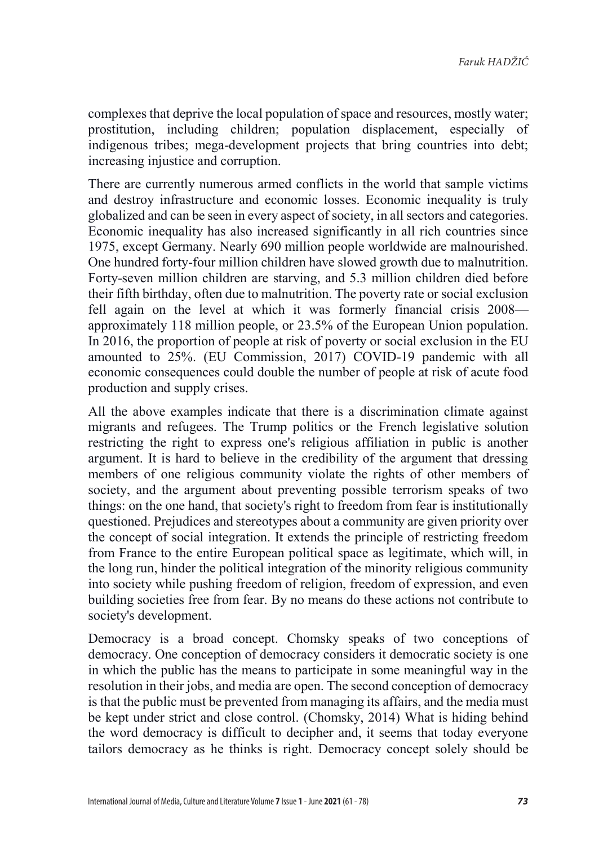complexes that deprive the local population of space and resources, mostly water; prostitution, including children; population displacement, especially of indigenous tribes; mega-development projects that bring countries into debt; increasing injustice and corruption.

There are currently numerous armed conflicts in the world that sample victims and destroy infrastructure and economic losses. Economic inequality is truly globalized and can be seen in every aspect of society, in all sectors and categories. Economic inequality has also increased significantly in all rich countries since 1975, except Germany. Nearly 690 million people worldwide are malnourished. One hundred forty-four million children have slowed growth due to malnutrition. Forty-seven million children are starving, and 5.3 million children died before their fifth birthday, often due to malnutrition. The poverty rate or social exclusion fell again on the level at which it was formerly financial crisis 2008 approximately 118 million people, or 23.5% of the European Union population. In 2016, the proportion of people at risk of poverty or social exclusion in the EU amounted to 25%. (EU Commission, 2017) COVID-19 pandemic with all economic consequences could double the number of people at risk of acute food production and supply crises.

All the above examples indicate that there is a discrimination climate against migrants and refugees. The Trump politics or the French legislative solution restricting the right to express one's religious affiliation in public is another argument. It is hard to believe in the credibility of the argument that dressing members of one religious community violate the rights of other members of society, and the argument about preventing possible terrorism speaks of two things: on the one hand, that society's right to freedom from fear is institutionally questioned. Prejudices and stereotypes about a community are given priority over the concept of social integration. It extends the principle of restricting freedom from France to the entire European political space as legitimate, which will, in the long run, hinder the political integration of the minority religious community into society while pushing freedom of religion, freedom of expression, and even building societies free from fear. By no means do these actions not contribute to society's development.

Democracy is a broad concept. Chomsky speaks of two conceptions of democracy. One conception of democracy considers it democratic society is one in which the public has the means to participate in some meaningful way in the resolution in their jobs, and media are open. The second conception of democracy is that the public must be prevented from managing its affairs, and the media must be kept under strict and close control. (Chomsky, 2014) What is hiding behind the word democracy is difficult to decipher and, it seems that today everyone tailors democracy as he thinks is right. Democracy concept solely should be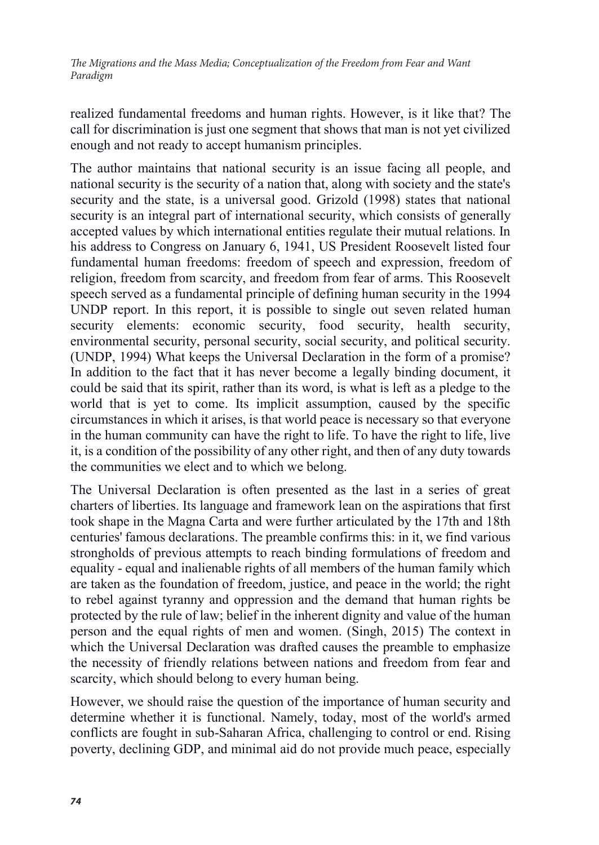realized fundamental freedoms and human rights. However, is it like that? The call for discrimination is just one segment that shows that man is not yet civilized enough and not ready to accept humanism principles.

The author maintains that national security is an issue facing all people, and national security is the security of a nation that, along with society and the state's security and the state, is a universal good. Grizold (1998) states that national security is an integral part of international security, which consists of generally accepted values by which international entities regulate their mutual relations. In his address to Congress on January 6, 1941, US President Roosevelt listed four fundamental human freedoms: freedom of speech and expression, freedom of religion, freedom from scarcity, and freedom from fear of arms. This Roosevelt speech served as a fundamental principle of defining human security in the 1994 UNDP report. In this report, it is possible to single out seven related human security elements: economic security, food security, health security, environmental security, personal security, social security, and political security. (UNDP, 1994) What keeps the Universal Declaration in the form of a promise? In addition to the fact that it has never become a legally binding document, it could be said that its spirit, rather than its word, is what is left as a pledge to the world that is yet to come. Its implicit assumption, caused by the specific circumstances in which it arises, is that world peace is necessary so that everyone in the human community can have the right to life. To have the right to life, live it, is a condition of the possibility of any other right, and then of any duty towards the communities we elect and to which we belong.

The Universal Declaration is often presented as the last in a series of great charters of liberties. Its language and framework lean on the aspirations that first took shape in the Magna Carta and were further articulated by the 17th and 18th centuries' famous declarations. The preamble confirms this: in it, we find various strongholds of previous attempts to reach binding formulations of freedom and equality - equal and inalienable rights of all members of the human family which are taken as the foundation of freedom, justice, and peace in the world; the right to rebel against tyranny and oppression and the demand that human rights be protected by the rule of law; belief in the inherent dignity and value of the human person and the equal rights of men and women. (Singh, 2015) The context in which the Universal Declaration was drafted causes the preamble to emphasize the necessity of friendly relations between nations and freedom from fear and scarcity, which should belong to every human being.

However, we should raise the question of the importance of human security and determine whether it is functional. Namely, today, most of the world's armed conflicts are fought in sub-Saharan Africa, challenging to control or end. Rising poverty, declining GDP, and minimal aid do not provide much peace, especially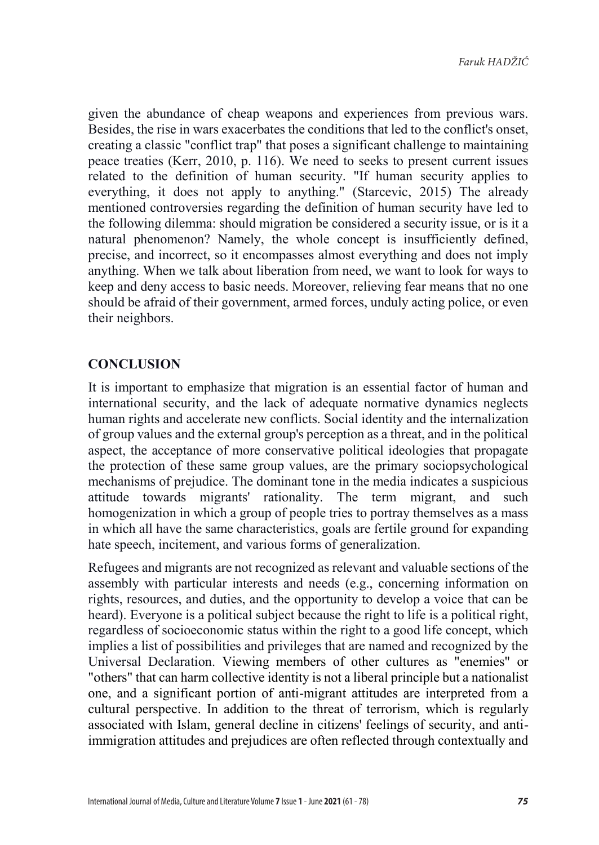given the abundance of cheap weapons and experiences from previous wars. Besides, the rise in wars exacerbates the conditions that led to the conflict's onset, creating a classic "conflict trap" that poses a significant challenge to maintaining peace treaties (Kerr, 2010, p. 116). We need to seeks to present current issues related to the definition of human security. "If human security applies to everything, it does not apply to anything." (Starcevic, 2015) The already mentioned controversies regarding the definition of human security have led to the following dilemma: should migration be considered a security issue, or is it a natural phenomenon? Namely, the whole concept is insufficiently defined, precise, and incorrect, so it encompasses almost everything and does not imply anything. When we talk about liberation from need, we want to look for ways to keep and deny access to basic needs. Moreover, relieving fear means that no one should be afraid of their government, armed forces, unduly acting police, or even their neighbors.

# **CONCLUSION**

It is important to emphasize that migration is an essential factor of human and international security, and the lack of adequate normative dynamics neglects human rights and accelerate new conflicts. Social identity and the internalization of group values and the external group's perception as a threat, and in the political aspect, the acceptance of more conservative political ideologies that propagate the protection of these same group values, are the primary sociopsychological mechanisms of prejudice. The dominant tone in the media indicates a suspicious attitude towards migrants' rationality. The term migrant, and such homogenization in which a group of people tries to portray themselves as a mass in which all have the same characteristics, goals are fertile ground for expanding hate speech, incitement, and various forms of generalization.

Refugees and migrants are not recognized as relevant and valuable sections of the assembly with particular interests and needs (e.g., concerning information on rights, resources, and duties, and the opportunity to develop a voice that can be heard). Everyone is a political subject because the right to life is a political right, regardless of socioeconomic status within the right to a good life concept, which implies a list of possibilities and privileges that are named and recognized by the Universal Declaration. Viewing members of other cultures as "enemies" or "others" that can harm collective identity is not a liberal principle but a nationalist one, and a significant portion of anti-migrant attitudes are interpreted from a cultural perspective. In addition to the threat of terrorism, which is regularly associated with Islam, general decline in citizens' feelings of security, and antiimmigration attitudes and prejudices are often reflected through contextually and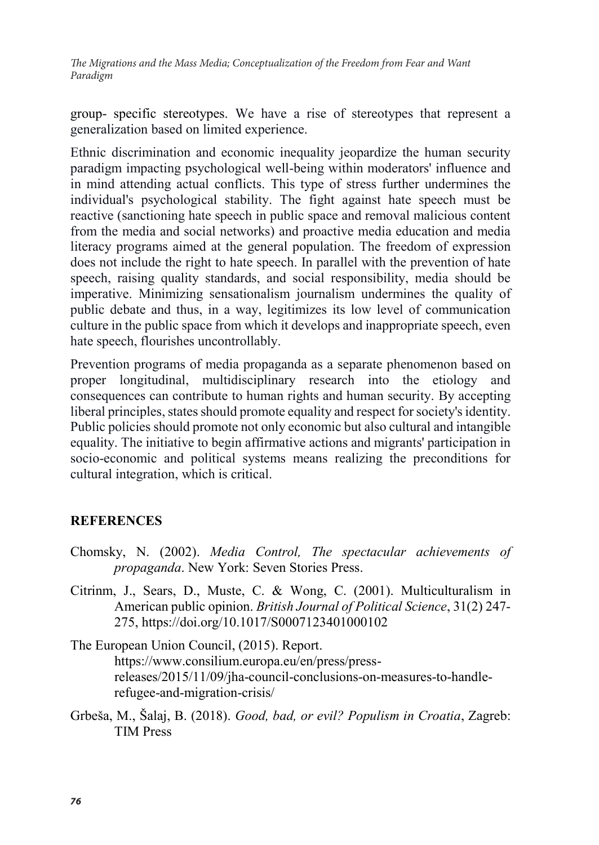group- specific stereotypes. We have a rise of stereotypes that represent a generalization based on limited experience.

Ethnic discrimination and economic inequality jeopardize the human security paradigm impacting psychological well-being within moderators' influence and in mind attending actual conflicts. This type of stress further undermines the individual's psychological stability. The fight against hate speech must be reactive (sanctioning hate speech in public space and removal malicious content from the media and social networks) and proactive media education and media literacy programs aimed at the general population. The freedom of expression does not include the right to hate speech. In parallel with the prevention of hate speech, raising quality standards, and social responsibility, media should be imperative. Minimizing sensationalism journalism undermines the quality of public debate and thus, in a way, legitimizes its low level of communication culture in the public space from which it develops and inappropriate speech, even hate speech, flourishes uncontrollably.

Prevention programs of media propaganda as a separate phenomenon based on proper longitudinal, multidisciplinary research into the etiology and consequences can contribute to human rights and human security. By accepting liberal principles, states should promote equality and respect for society's identity. Public policies should promote not only economic but also cultural and intangible equality. The initiative to begin affirmative actions and migrants' participation in socio-economic and political systems means realizing the preconditions for cultural integration, which is critical.

# **REFERENCES**

- Chomsky, N. (2002). *Media Control, The spectacular achievements of propaganda*. New York: Seven Stories Press.
- Citrinm, J., Sears, D., Muste, C. & Wong, C. (2001). Multiculturalism in American public opinion. *British Journal of Political Science*, 31(2) 247- 275, https://doi.org/10.1017/S0007123401000102

The European Union Council, (2015). Report. https://www.consilium.europa.eu/en/press/pressreleases/2015/11/09/jha-council-conclusions-on-measures-to-handlerefugee-and-migration-crisis/

Grbeša, M., Šalaj, B. (2018). *Good, bad, or evil? Populism in Croatia*, Zagreb: TIM Press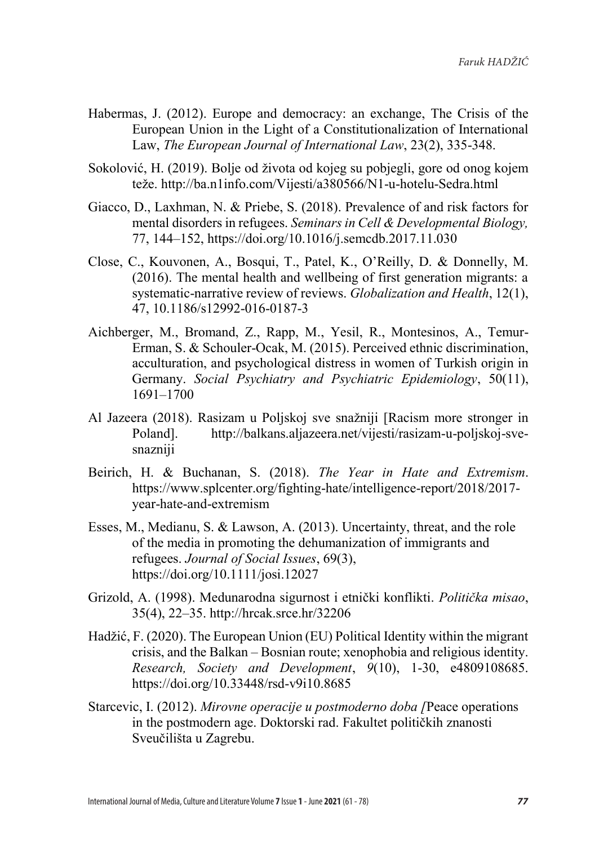- Habermas, J. (2012). Europe and democracy: an exchange, The Crisis of the European Union in the Light of a Constitutionalization of International Law, *The European Journal of International Law*, 23(2), 335-348.
- Sokolović, H. (2019). Bolje od života od kojeg su pobjegli, gore od onog kojem teže. http://ba.n1info.com/Vijesti/a380566/N1-u-hotelu-Sedra.html
- Giacco, D., Laxhman, N. & Priebe, S. (2018). Prevalence of and risk factors for mental disorders in refugees. *Seminars in Cell & Developmental Biology,*  77, 144–152, https://doi.org/10.1016/j.semcdb.2017.11.030
- Close, C., Kouvonen, A., Bosqui, T., Patel, K., O'Reilly, D. & Donnelly, M. (2016). The mental health and wellbeing of first generation migrants: a systematic-narrative review of reviews. *Globalization and Health*, 12(1), 47, 10.1186/s12992-016-0187-3
- Aichberger, M., Bromand, Z., Rapp, M., Yesil, R., Montesinos, A., Temur-Erman, S. & Schouler-Ocak, M. (2015). Perceived ethnic discrimination, acculturation, and psychological distress in women of Turkish origin in Germany. *Social Psychiatry and Psychiatric Epidemiology*, 50(11), 1691–1700
- Al Jazeera (2018). Rasizam u Poljskoj sve snažniji [Racism more stronger in Poland]. http://balkans.aljazeera.net/vijesti/rasizam-u-poljskoj-svesnazniji
- Beirich, H. & Buchanan, S. (2018). *The Year in Hate and Extremism*. https://www.splcenter.org/fighting-hate/intelligence-report/2018/2017 year-hate-and-extremism
- Esses, M., Medianu, S. & Lawson, A. (2013). Uncertainty, threat, and the role of the media in promoting the dehumanization of immigrants and refugees. *Journal of Social Issues*, 69(3), https://doi.org/10.1111/josi.12027
- Grizold, A. (1998). Medunarodna sigurnost i etnički konflikti. *Politička misao*, 35(4), 22–35. http://hrcak.srce.hr/32206
- Hadžić, F. (2020). The European Union (EU) Political Identity within the migrant crisis, and the Balkan – Bosnian route; xenophobia and religious identity. *Research, Society and Development*, *9*(10), 1-30, e4809108685. https://doi.org/10.33448/rsd-v9i10.8685
- Starcevic, I. (2012). *Mirovne operacije u postmoderno doba [*Peace operations in the postmodern age. Doktorski rad. Fakultet političkih znanosti Sveučilišta u Zagrebu.